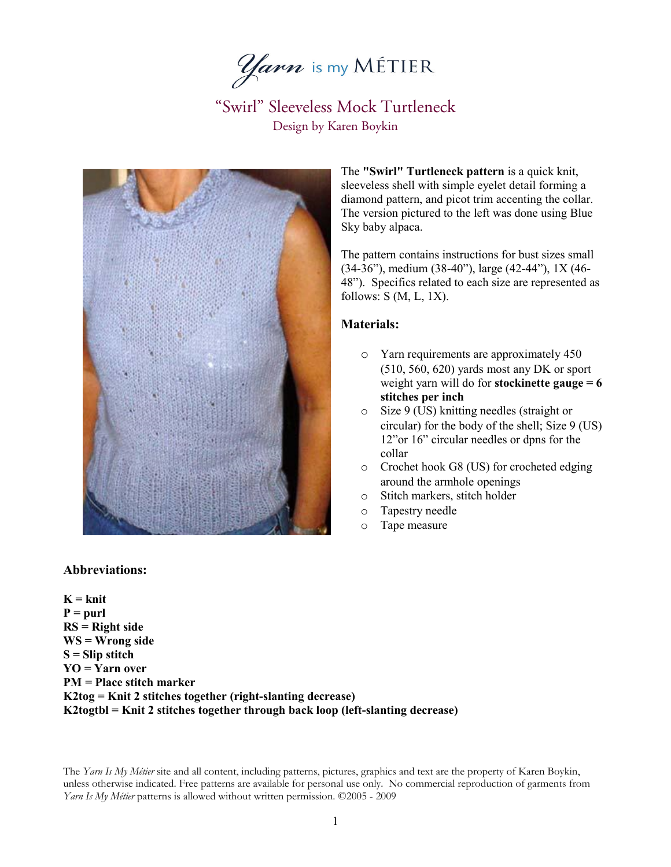*Yarn* is my MÉTIER



The **"Swirl" Turtleneck pattern** is a quick knit, sleeveless shell with simple eyelet detail forming a diamond pattern, and picot trim accenting the collar. The version pictured to the left was done using Blue Sky baby alpaca.

The pattern contains instructions for bust sizes small (34-36"), medium (38-40"), large (42-44"), 1X (46- 48"). Specifics related to each size are represented as follows:  $S(M, L, 1X)$ .

### **Materials:**

- o Yarn requirements are approximately 450 (510, 560, 620) yards most any DK or sport weight yarn will do for **stockinette gauge = 6 stitches per inch**
- $\circ$  Size 9 (US) knitting needles (straight or circular) for the body of the shell; Size 9 (US) 12"or 16" circular needles or dpns for the collar
- o Crochet hook G8 (US) for crocheted edging around the armhole openings
- o Stitch markers, stitch holder
- o Tapestry needle
- o Tape measure

### **Abbreviations:**

**K = knit P = purl RS = Right side WS = Wrong side S = Slip stitch YO = Yarn over PM = Place stitch marker K2tog = Knit 2 stitches together (right-slanting decrease) K2togtbl = Knit 2 stitches together through back loop (left-slanting decrease)**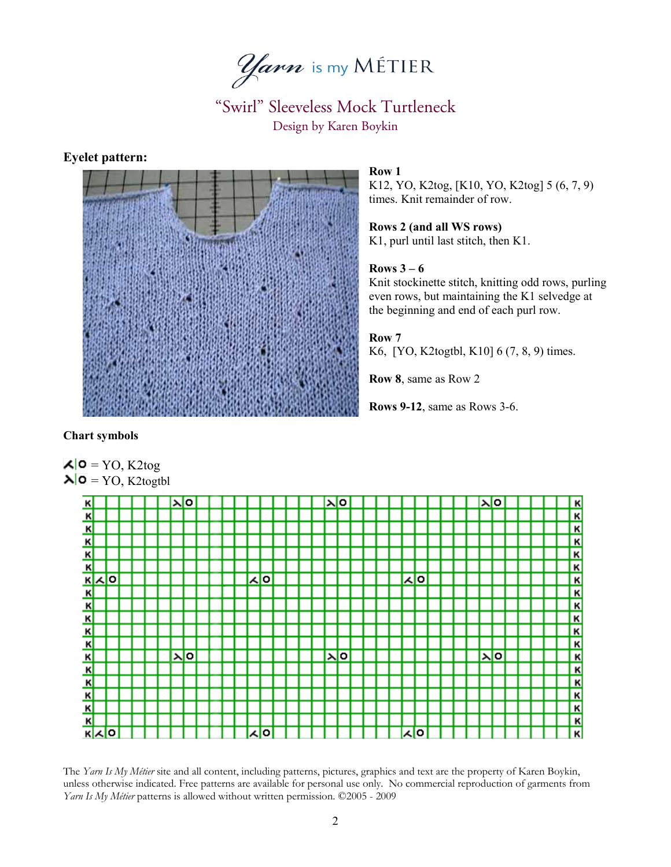

## **Eyelet pattern:**



### **Row 1**

K12, YO, K2tog, [K10, YO, K2tog] 5 (6, 7, 9) times. Knit remainder of row.

**Rows 2 (and all WS rows)** K1, purl until last stitch, then K1.

## **Rows 3 – 6**

Knit stockinette stitch, knitting odd rows, purling even rows, but maintaining the K1 selvedge at the beginning and end of each purl row.

### **Row 7**

K6, [YO, K2togtbl, K10] 6 (7, 8, 9) times.

**Row 8**, same as Row 2

**Rows 9-12**, same as Rows 3-6.

## **Chart symbols**

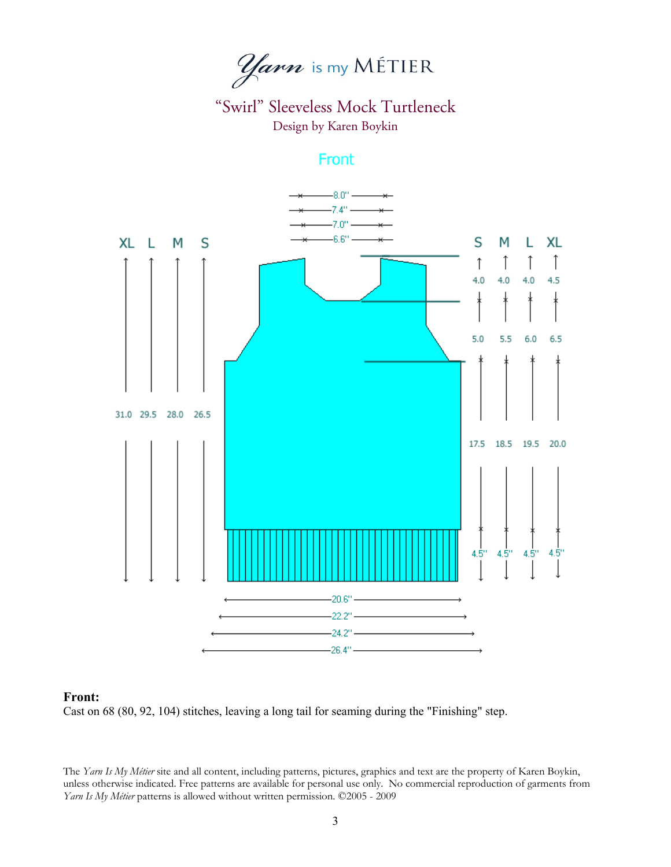*Yarn* is my MÉTIER

Front



#### **Front:**

Cast on 68 (80, 92, 104) stitches, leaving a long tail for seaming during the "Finishing" step.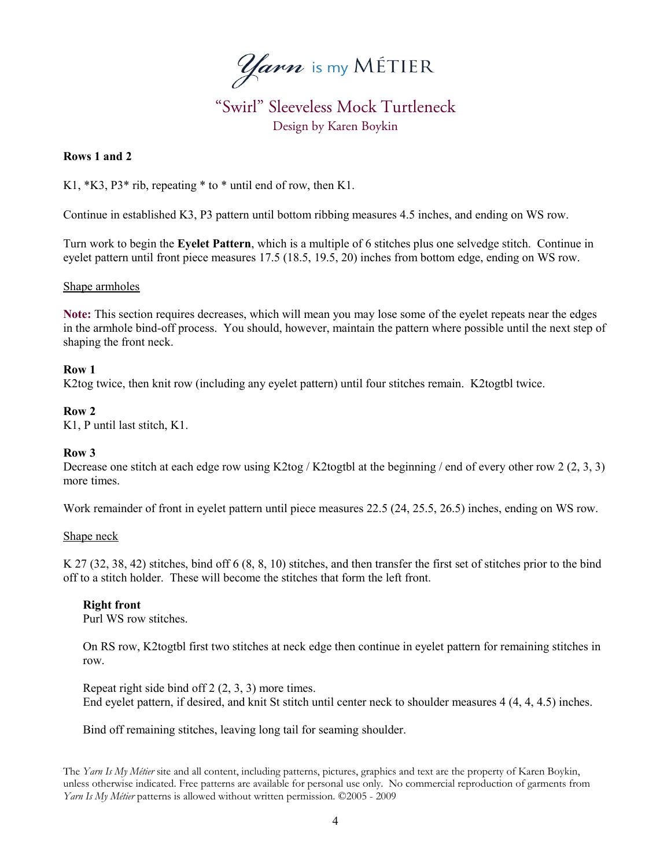

### **Rows 1 and 2**

K1, \*K3, P3\* rib, repeating \* to \* until end of row, then K1.

Continue in established K3, P3 pattern until bottom ribbing measures 4.5 inches, and ending on WS row.

Turn work to begin the **Eyelet Pattern**, which is a multiple of 6 stitches plus one selvedge stitch. Continue in eyelet pattern until front piece measures 17.5 (18.5, 19.5, 20) inches from bottom edge, ending on WS row.

#### Shape armholes

**Note:** This section requires decreases, which will mean you may lose some of the eyelet repeats near the edges in the armhole bind-off process. You should, however, maintain the pattern where possible until the next step of shaping the front neck.

### **Row 1**

K2tog twice, then knit row (including any eyelet pattern) until four stitches remain. K2togtbl twice.

#### **Row 2**

K1, P until last stitch, K1.

### **Row 3**

Decrease one stitch at each edge row using K2tog / K2togtbl at the beginning / end of every other row 2 (2, 3, 3) more times.

Work remainder of front in eyelet pattern until piece measures 22.5 (24, 25.5, 26.5) inches, ending on WS row.

### Shape neck

K 27 (32, 38, 42) stitches, bind off 6 (8, 8, 10) stitches, and then transfer the first set of stitches prior to the bind off to a stitch holder. These will become the stitches that form the left front.

### **Right front**

Purl WS row stitches.

On RS row, K2togtbl first two stitches at neck edge then continue in eyelet pattern for remaining stitches in row.

Repeat right side bind off 2 (2, 3, 3) more times. End eyelet pattern, if desired, and knit St stitch until center neck to shoulder measures 4 (4, 4, 4.5) inches.

Bind off remaining stitches, leaving long tail for seaming shoulder.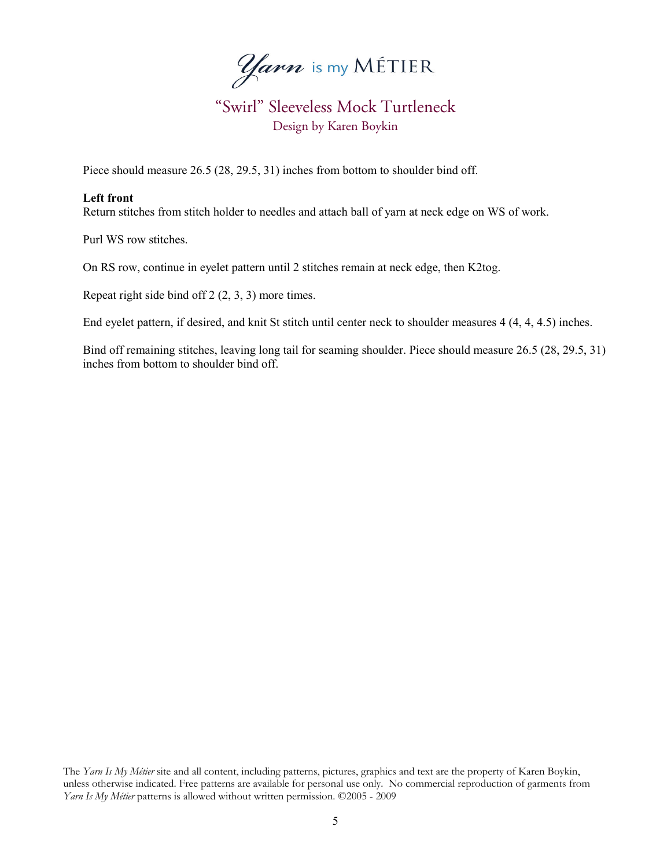*Yarn* is my MÉTIER

Piece should measure 26.5 (28, 29.5, 31) inches from bottom to shoulder bind off.

### **Left front**

Return stitches from stitch holder to needles and attach ball of yarn at neck edge on WS of work.

Purl WS row stitches.

On RS row, continue in eyelet pattern until 2 stitches remain at neck edge, then K2tog.

Repeat right side bind off 2 (2, 3, 3) more times.

End eyelet pattern, if desired, and knit St stitch until center neck to shoulder measures 4 (4, 4, 4.5) inches.

Bind off remaining stitches, leaving long tail for seaming shoulder. Piece should measure 26.5 (28, 29.5, 31) inches from bottom to shoulder bind off.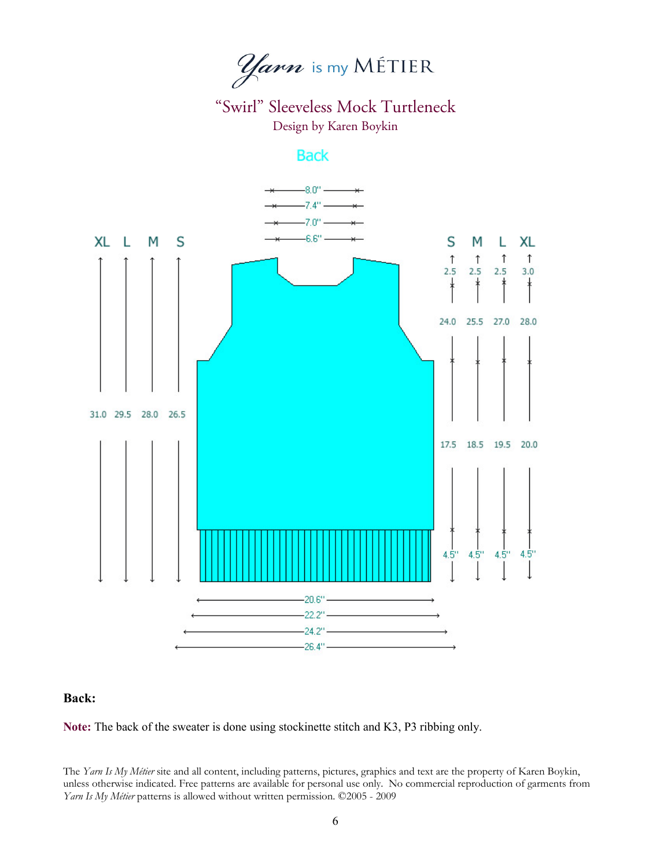*Yarn* is my MÉTIER

## **Back**



## **Back:**

**Note:** The back of the sweater is done using stockinette stitch and K3, P3 ribbing only.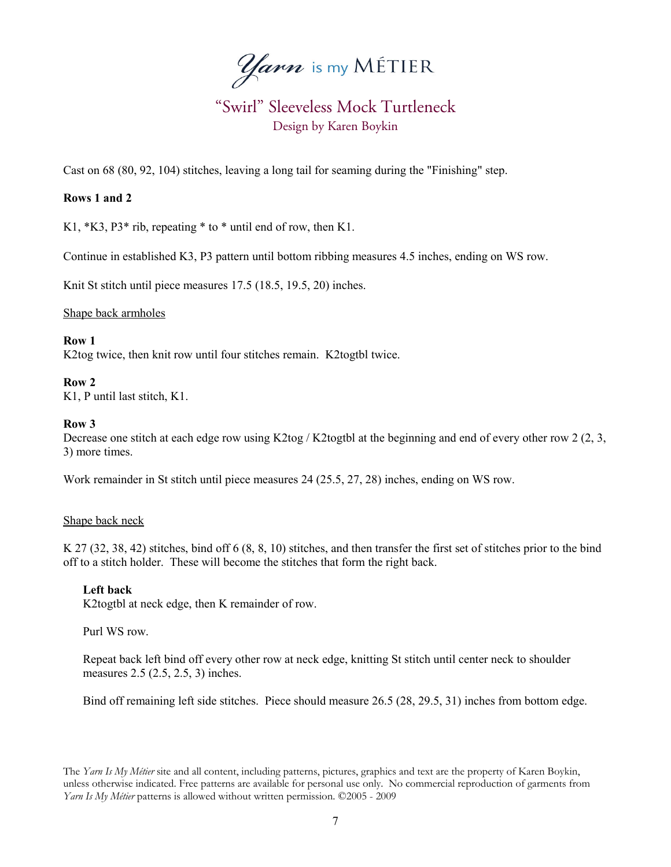*Yarn* is my MÉTIER

Cast on 68 (80, 92, 104) stitches, leaving a long tail for seaming during the "Finishing" step.

### **Rows 1 and 2**

K1, \*K3, P3\* rib, repeating \* to \* until end of row, then K1.

Continue in established K3, P3 pattern until bottom ribbing measures 4.5 inches, ending on WS row.

Knit St stitch until piece measures 17.5 (18.5, 19.5, 20) inches.

Shape back armholes

### **Row 1**

K2tog twice, then knit row until four stitches remain. K2togtbl twice.

### **Row 2**

K1, P until last stitch, K1.

#### **Row 3**

Decrease one stitch at each edge row using K2tog / K2togtbl at the beginning and end of every other row 2 (2, 3, 3) more times.

Work remainder in St stitch until piece measures 24 (25.5, 27, 28) inches, ending on WS row.

### Shape back neck

K 27 (32, 38, 42) stitches, bind off 6 (8, 8, 10) stitches, and then transfer the first set of stitches prior to the bind off to a stitch holder. These will become the stitches that form the right back.

### **Left back**

K2togtbl at neck edge, then K remainder of row.

#### Purl WS row.

Repeat back left bind off every other row at neck edge, knitting St stitch until center neck to shoulder measures 2.5 (2.5, 2.5, 3) inches.

Bind off remaining left side stitches. Piece should measure 26.5 (28, 29.5, 31) inches from bottom edge.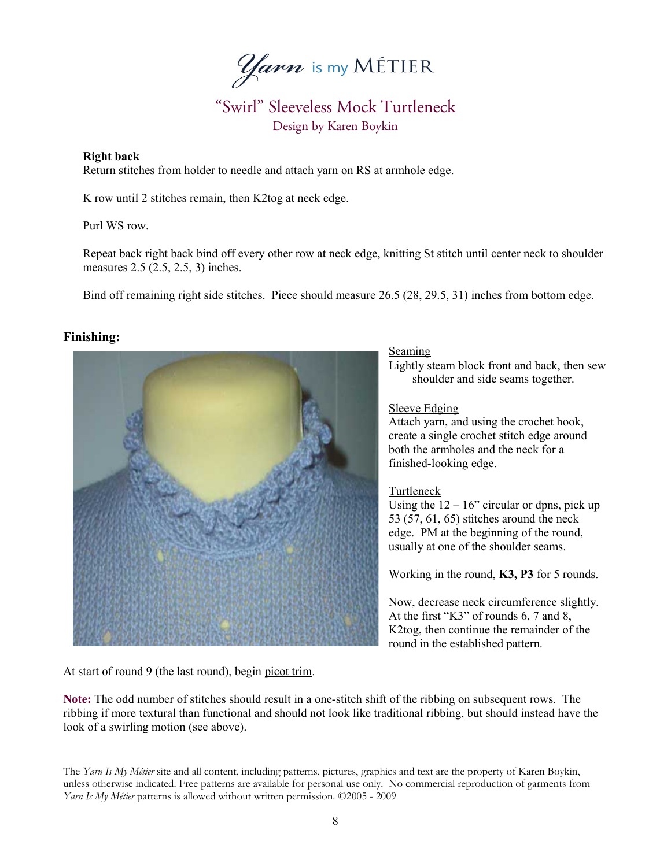*Yarn* is my MÉTIER

### **Right back**

Return stitches from holder to needle and attach yarn on RS at armhole edge.

K row until 2 stitches remain, then K2tog at neck edge.

Purl WS row.

Repeat back right back bind off every other row at neck edge, knitting St stitch until center neck to shoulder measures 2.5 (2.5, 2.5, 3) inches.

Bind off remaining right side stitches. Piece should measure 26.5 (28, 29.5, 31) inches from bottom edge.

## **Finishing:**



### **Seaming**

Lightly steam block front and back, then sew shoulder and side seams together.

#### Sleeve Edging

Attach yarn, and using the crochet hook, create a single crochet stitch edge around both the armholes and the neck for a finished-looking edge.

### Turtleneck

Using the  $12 - 16$ " circular or dpns, pick up 53 (57, 61, 65) stitches around the neck edge. PM at the beginning of the round, usually at one of the shoulder seams.

Working in the round, **K3, P3** for 5 rounds.

Now, decrease neck circumference slightly. At the first "K3" of rounds 6, 7 and 8, K2tog, then continue the remainder of the round in the established pattern.

At start of round 9 (the last round), begin picot trim.

**Note:** The odd number of stitches should result in a one-stitch shift of the ribbing on subsequent rows. The ribbing if more textural than functional and should not look like traditional ribbing, but should instead have the look of a swirling motion (see above).

The *Yarn Is My Métier* site and all content, including patterns, pictures, graphics and text are the property of Karen Boykin, unless otherwise indicated. Free patterns are available for personal use only. No commercial reproduction of garments from *Yarn Is My Métier* patterns is allowed without written permission. ©2005 - 2009